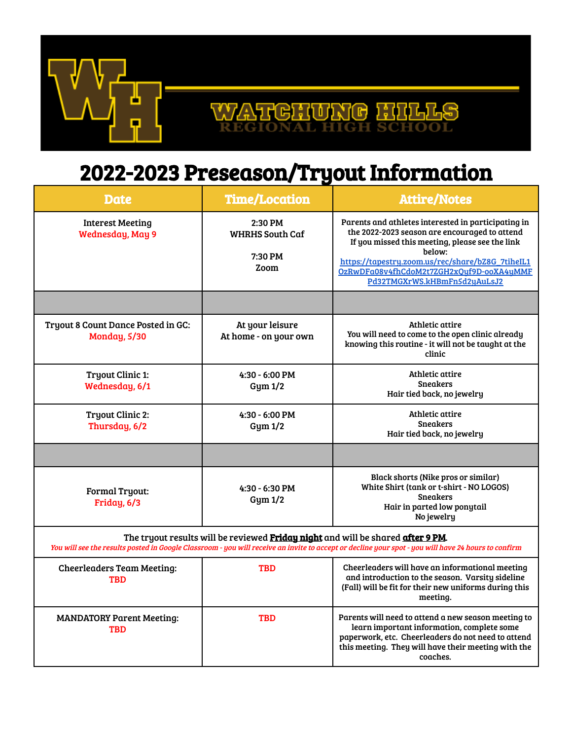

#### 고남 ਆਨਾ  $\mathbb{B}$

# 2022-2023 Preseason/Tryout Information

| <b>Date</b>                                                                                                                                                                                                                            | <b>Time/Location</b>                                 | <b>Attire/Notes</b>                                                                                                                                                                                                                                                                               |  |  |
|----------------------------------------------------------------------------------------------------------------------------------------------------------------------------------------------------------------------------------------|------------------------------------------------------|---------------------------------------------------------------------------------------------------------------------------------------------------------------------------------------------------------------------------------------------------------------------------------------------------|--|--|
| <b>Interest Meeting</b><br>Wednesday, May 9                                                                                                                                                                                            | 2:30 PM<br><b>WHRHS South Caf</b><br>7:30 PM<br>Zoom | Parents and athletes interested in participating in<br>the 2022-2023 season are encouraged to attend<br>If you missed this meeting, please see the link<br>below:<br>https://tapestry.zoom.us/rec/share/bZ8G_7tiheIL1<br>OzRwDFa08v4fhCdoM2t7ZGH2xQuf9D-ooXA4uMMF<br>Pd32TMGXrWS.kHBmFn5d2yAuLsJ2 |  |  |
|                                                                                                                                                                                                                                        |                                                      |                                                                                                                                                                                                                                                                                                   |  |  |
| Tryout 8 Count Dance Posted in GC:<br><b>Monday, 5/30</b>                                                                                                                                                                              | At your leisure<br>At home - on your own             | Athletic attire<br>You will need to come to the open clinic already<br>knowing this routine - it will not be taught at the<br>clinic                                                                                                                                                              |  |  |
| <b>Tryout Clinic 1:</b><br>Wednesday, 6/1                                                                                                                                                                                              | $4:30 - 6:00$ PM<br>Gym 1/2                          | Athletic attire<br><b>Sneakers</b><br>Hair tied back, no jewelry                                                                                                                                                                                                                                  |  |  |
| <b>Tryout Clinic 2:</b><br>Thursday, 6/2                                                                                                                                                                                               | $4:30 - 6:00$ PM<br>Gym 1/2                          | Athletic attire<br>Sneakers<br>Hair tied back, no jewelry                                                                                                                                                                                                                                         |  |  |
|                                                                                                                                                                                                                                        |                                                      |                                                                                                                                                                                                                                                                                                   |  |  |
| <b>Formal Tryout:</b><br>Friday, 6/3                                                                                                                                                                                                   | 4:30 - 6:30 PM<br>Gym 1/2                            | Black shorts (Nike pros or similar)<br>White Shirt (tank or t-shirt - NO LOGOS)<br><b>Sneakers</b><br>Hair in parted low ponytail<br>No jewelry                                                                                                                                                   |  |  |
| The tryout results will be reviewed Friday night and will be shared after 9 PM.<br>You will see the results posted in Google Classroom - you will receive an invite to accept or decline your spot - you will have 24 hours to confirm |                                                      |                                                                                                                                                                                                                                                                                                   |  |  |
| <b>Cheerleaders Team Meeting:</b><br><b>TBD</b>                                                                                                                                                                                        | <b>TBD</b>                                           | Cheerleaders will have an informational meeting<br>and introduction to the season. Varsity sideline<br>(Fall) will be fit for their new uniforms during this<br>meeting.                                                                                                                          |  |  |
| <b>MANDATORY Parent Meeting:</b><br><b>TBD</b>                                                                                                                                                                                         | <b>TBD</b>                                           | Parents will need to attend a new season meeting to<br>learn important information, complete some<br>paperwork, etc. Cheerleaders do not need to attend<br>this meeting. They will have their meeting with the<br>coaches.                                                                        |  |  |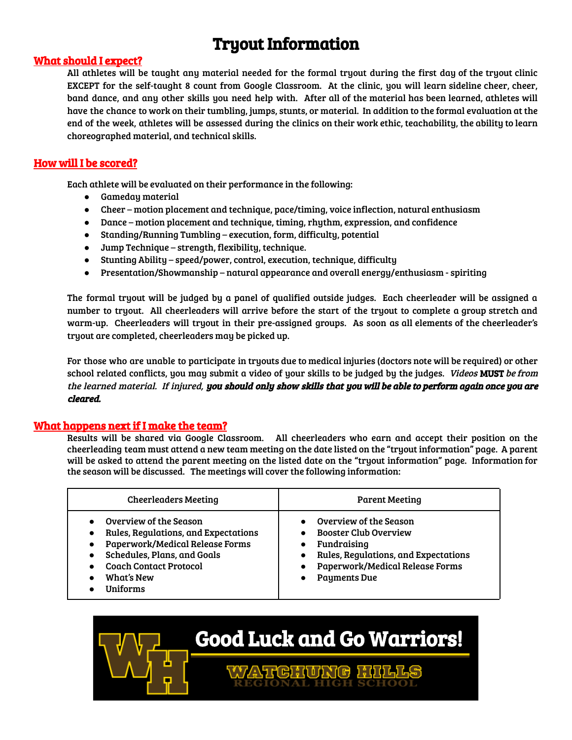# Tryout Information

#### What should I expect?

All athletes will be taught any material needed for the formal tryout during the first day of the tryout clinic EXCEPT for the self-taught 8 count from Google Classroom. At the clinic, you will learn sideline cheer, cheer, band dance, and any other skills you need help with. After all of the material has been learned, athletes will have the chance to work on their tumbling, jumps, stunts, or material. In addition to the formal evaluation at the end of the week, athletes will be assessed during the clinics on their work ethic, teachability, the ability to learn choreographed material, and technical skills.

#### How will I be scored?

Each athlete will be evaluated on their performance in the following:

- Gameday material
- Cheer motion placement and technique, pace/timing, voice inflection, natural enthusiasm
- Dance motion placement and technique, timing, rhythm, expression, and confidence
- Standing/Running Tumbling execution, form, difficulty, potential
- Jump Technique strength, flexibility, technique.
- Stunting Ability speed/power, control, execution, technique, difficulty
- Presentation/Showmanship natural appearance and overall energy/enthusiasm spiriting

The formal tryout will be judged by a panel of qualified outside judges. Each cheerleader will be assigned a number to tryout. All cheerleaders will arrive before the start of the tryout to complete a group stretch and warm-up. Cheerleaders will tryout in their pre-assigned groups. As soon as all elements of the cheerleader's tryout are completed, cheerleaders may be picked up.

For those who are unable to participate in tryouts due to medical injuries (doctors note will be required) or other school related conflicts, you may submit a video of your skills to be judged by the judges. *Videos* MUST be from the learned material. If injured, you should only show skills that you will be able to perform again once you are cleared.

#### What happens next if I make the team?

Results will be shared via Google Classroom. All cheerleaders who earn and accept their position on the cheerleading team must attend a new team meeting on the date listed on the "tryout information" page. A parent will be asked to attend the parent meeting on the listed date on the "tryout information" page. Information for the season will be discussed. The meetings will cover the following information:

| <b>Cheerleaders Meeting</b>                                                                                                                                                                          | <b>Parent Meeting</b>                                                                                                                                                   |  |
|------------------------------------------------------------------------------------------------------------------------------------------------------------------------------------------------------|-------------------------------------------------------------------------------------------------------------------------------------------------------------------------|--|
| Overview of the Season<br>Rules, Regulations, and Expectations<br>Paperwork/Medical Release Forms<br>Schedules, Plans, and Goals<br><b>Coach Contact Protocol</b><br>What's New<br><b>I</b> Iniforms | Overview of the Season<br><b>Booster Club Overview</b><br>Fundraising<br>Rules, Regulations, and Expectations<br>Paperwork/Medical Release Forms<br><b>Payments Due</b> |  |

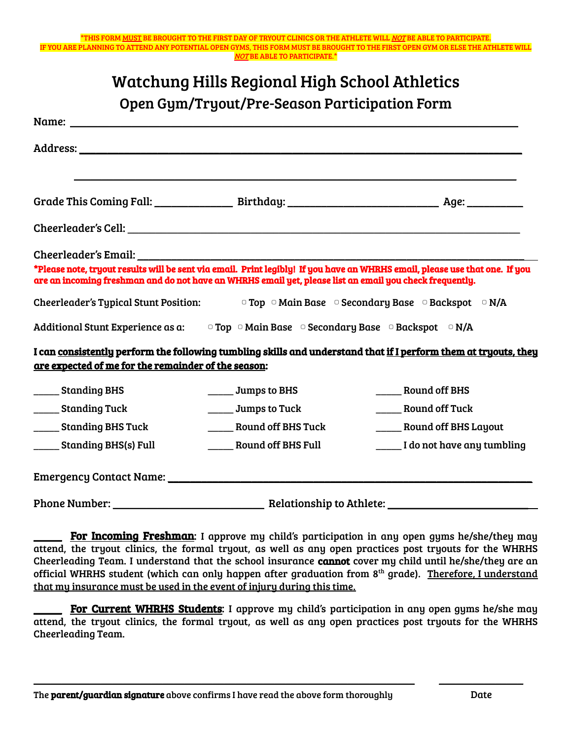\*THIS FORM MUST BE BROUGHT TO THE FIRST DAY OF TRYOUT CLINICS OR THE ATHLETE WILL NOT BE ABLE TO PARTICIPATE. OU ARE PLANNING TO ATTEND ANY POTENTIAL OPEN GYMS, THIS FORM MUST BE BROUGHT TO THE FIRST OPEN GYM OR ELSE THE ATHLETE WILL NOT BE ABLE TO PARTICIPATE.\*

| <b>Watchung Hills Regional High School Athletics</b>                                                                                                                                                                           |                                                                                                         |                                                                                                                             |  |  |
|--------------------------------------------------------------------------------------------------------------------------------------------------------------------------------------------------------------------------------|---------------------------------------------------------------------------------------------------------|-----------------------------------------------------------------------------------------------------------------------------|--|--|
|                                                                                                                                                                                                                                | Open Gym/Tryout/Pre-Season Participation Form                                                           |                                                                                                                             |  |  |
|                                                                                                                                                                                                                                |                                                                                                         |                                                                                                                             |  |  |
|                                                                                                                                                                                                                                |                                                                                                         |                                                                                                                             |  |  |
|                                                                                                                                                                                                                                |                                                                                                         |                                                                                                                             |  |  |
|                                                                                                                                                                                                                                |                                                                                                         |                                                                                                                             |  |  |
|                                                                                                                                                                                                                                |                                                                                                         |                                                                                                                             |  |  |
| Cheerleader's Email: the control of the control of the control of the control of the control of the control of the control of the control of the control of the control of the control of the control of the control of the co |                                                                                                         |                                                                                                                             |  |  |
|                                                                                                                                                                                                                                | are an incoming freshman and do not have an WHRHS email yet, please list an email you check frequently. | *Please note, tryout results will be sent via email. Print legibly! If you have an WHRHS email, please use that one. If you |  |  |
| Cheerleader's Typical Stunt Position: $\Box$ Top $\Box$ Main Base $\Box$ Secondary Base $\Box$ Backspot $\Box$ N/A                                                                                                             |                                                                                                         |                                                                                                                             |  |  |
| Additional Stunt Experience as a: $\Box$ Top $\Box$ Main Base $\Box$ Secondary Base $\Box$ Backspot $\Box$ N/A                                                                                                                 |                                                                                                         |                                                                                                                             |  |  |
| are expected of me for the remainder of the season:                                                                                                                                                                            |                                                                                                         | I can consistently perform the following tumbling skills and understand that if I perform them at tryouts, they             |  |  |
| ______ Standing BHS                                                                                                                                                                                                            | ______ Jumps to BHS                                                                                     | Round off BHS                                                                                                               |  |  |
| _______ Standing Tuck                                                                                                                                                                                                          | ______ Jumps to Tuck                                                                                    | <b>Round off Tuck</b>                                                                                                       |  |  |
| _______ Standing BHS Tuck                                                                                                                                                                                                      | <b>Round off BHS Tuck</b>                                                                               | ______ Round off BHS Layout                                                                                                 |  |  |
| _____ Standing BHS(s) Full                                                                                                                                                                                                     | <b>Round off BHS Full</b>                                                                               | Let not have any tumbling                                                                                                   |  |  |
|                                                                                                                                                                                                                                |                                                                                                         |                                                                                                                             |  |  |
|                                                                                                                                                                                                                                |                                                                                                         |                                                                                                                             |  |  |

For Incoming Freshman: I approve my child's participation in any open gyms he/she/they may attend, the tryout clinics, the formal tryout, as well as any open practices post tryouts for the WHRHS Cheerleading Team. I understand that the school insurance cannot cover my child until he/she/they are an official WHRHS student (which can only happen after graduation from 8<sup>th</sup> grade). <u>Therefore, I understand</u> that my insurance must be used in the event of injury during this time.

For Current WHRHS Students: I approve my child's participation in any open gyms he/she may attend, the tryout clinics, the formal tryout, as well as any open practices post tryouts for the WHRHS Cheerleading Team.

\_\_\_\_\_\_\_\_\_\_\_\_\_\_\_\_\_\_\_\_\_\_\_\_\_\_\_\_\_\_\_\_\_\_\_\_\_\_\_\_\_\_\_\_\_\_\_\_\_\_\_\_\_\_\_\_\_\_\_\_\_\_\_\_\_\_\_\_ \_\_\_\_\_\_\_\_\_\_\_\_\_\_\_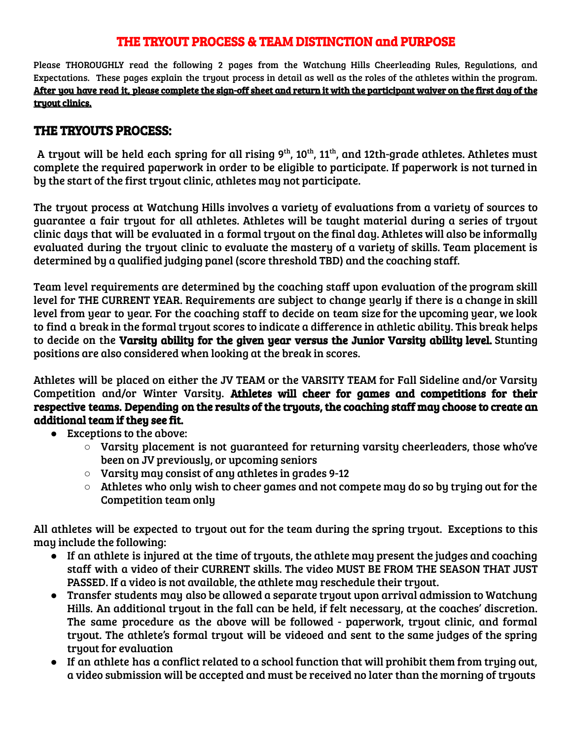# THE TRYOUT PROCESS & TEAM DISTINCTION and PURPOSE

Please THOROUGHLY read the following 2 pages from the Watchung Hills Cheerleading Rules, Regulations, and Expectations. These pages explain the tryout process in detail as well as the roles of the athletes within the program. After you have read it, please complete the sign-off sheet and return it with the participant waiver on the first day of the tryout clinics.

### THE TRYOUTS PROCESS:

A tryout will be held each spring for all rising 9 $^{\rm th}$ , 10 $^{\rm th}$ , 11 $^{\rm th}$ , and 12th-grade athletes. Athletes must complete the required paperwork in order to be eligible to participate. If paperwork is not turned in by the start of the first tryout clinic, athletes may not participate.

The tryout process at Watchung Hills involves a variety of evaluations from a variety of sources to guarantee a fair tryout for all athletes. Athletes will be taught material during a series of tryout clinic days that will be evaluated in a formal tryout on the final day. Athletes will also be informally evaluated during the tryout clinic to evaluate the mastery of a variety of skills. Team placement is determined by a qualified judging panel (score threshold TBD) and the coaching staff.

Team level requirements are determined by the coaching staff upon evaluation of the program skill level for THE CURRENT YEAR. Requirements are subject to change yearly if there is a change in skill level from year to year. For the coaching staff to decide on team size for the upcoming year, we look to find a break in the formal tryout scores to indicate a difference in athletic ability. This break helps to decide on the Varsity ability for the given year versus the Junior Varsity ability level. Stunting positions are also considered when looking at the break in scores.

Athletes will be placed on either the JV TEAM or the VARSITY TEAM for Fall Sideline and/or Varsity Competition and/or Winter Varsity. Athletes will cheer for games and competitions for their respective teams. Depending on the results of the tryouts, the coaching staff may choose to create an additional team if they see fit.

- **●** Exceptions to the above:
	- **○** Varsity placement is not guaranteed for returning varsity cheerleaders, those who've been on JV previously, or upcoming seniors
	- Varsity may consist of any athletes in grades 9-12
	- Athletes who only wish to cheer games and not compete may do so by trying out for the Competition team only

All athletes will be expected to tryout out for the team during the spring tryout. Exceptions to this may include the following:

- If an athlete is injured at the time of tryouts, the athlete may present the judges and coaching staff with a video of their CURRENT skills. The video MUST BE FROM THE SEASON THAT JUST PASSED. If a video is not available, the athlete may reschedule their tryout.
- Transfer students may also be allowed a separate tryout upon arrival admission to Watchung Hills. An additional tryout in the fall can be held, if felt necessary, at the coaches' discretion. The same procedure as the above will be followed - paperwork, tryout clinic, and formal tryout. The athlete's formal tryout will be videoed and sent to the same judges of the spring tryout for evaluation
- If an athlete has a conflict related to a school function that will prohibit them from trying out, a video submission will be accepted and must be received no later than the morning of tryouts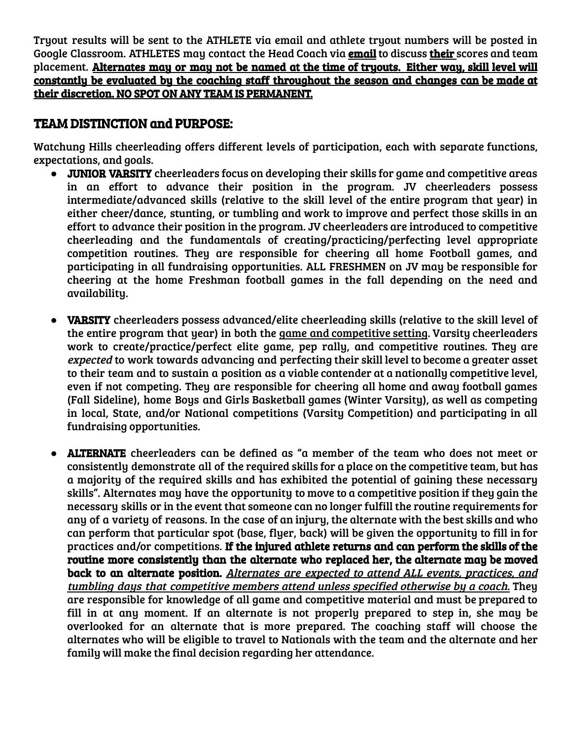Tryout results will be sent to the ATHLETE via email and athlete tryout numbers will be posted in Google Classroom. ATHLETES may contact the Head Coach via **email** to discuss **their** scores and team placement. Alternates may or may not be named at the time of tryouts. Either way, skill level will constantly be evaluated by the coaching staff throughout the season and changes can be made at their discretion. NO SPOT ON ANY TEAM IS PERMANENT.

# TEAM DISTINCTION and PURPOSE:

Watchung Hills cheerleading offers different levels of participation, each with separate functions, expectations, and goals.

- JUNIOR VARSITY cheerleaders focus on developing their skills for game and competitive areas in an effort to advance their position in the program. JV cheerleaders possess intermediate/advanced skills (relative to the skill level of the entire program that year) in either cheer/dance, stunting, or tumbling and work to improve and perfect those skills in an effort to advance their position in the program. JV cheerleaders are introduced to competitive cheerleading and the fundamentals of creating/practicing/perfecting level appropriate competition routines. They are responsible for cheering all home Football games, and participating in all fundraising opportunities. ALL FRESHMEN on JV may be responsible for cheering at the home Freshman football games in the fall depending on the need and availability.
- **VARSITY** cheerleaders possess advanced/elite cheerleading skills (relative to the skill level of the entire program that year) in both the game and competitive setting. Varsity cheerleaders work to create/practice/perfect elite game, pep rally, and competitive routines. They are expected to work towards advancing and perfecting their skill level to become a greater asset to their team and to sustain a position as a viable contender at a nationally competitive level, even if not competing. They are responsible for cheering all home and away football games (Fall Sideline), home Boys and Girls Basketball games (Winter Varsity), as well as competing in local, State, and/or National competitions (Varsity Competition) and participating in all fundraising opportunities.
- ALTERNATE cheerleaders can be defined as "a member of the team who does not meet or consistently demonstrate all of the required skills for a place on the competitive team, but has a majority of the required skills and has exhibited the potential of gaining these necessary skills". Alternates may have the opportunity to move to a competitive position if they gain the necessary skills or in the event that someone can no longer fulfill the routine requirements for any of a variety of reasons. In the case of an injury, the alternate with the best skills and who can perform that particular spot (base, flyer, back) will be given the opportunity to fill in for practices and/or competitions. If the injured athlete returns and can perform the skills of the routine more consistently than the alternate who replaced her, the alternate may be moved back to an alternate position. Alternates are expected to attend ALL events, practices, and tumbling days that competitive members attend unless specified otherwise by <sup>a</sup> coach. They are responsible for knowledge of all game and competitive material and must be prepared to fill in at any moment. If an alternate is not properly prepared to step in, she may be overlooked for an alternate that is more prepared. The coaching staff will choose the alternates who will be eligible to travel to Nationals with the team and the alternate and her family will make the final decision regarding her attendance.